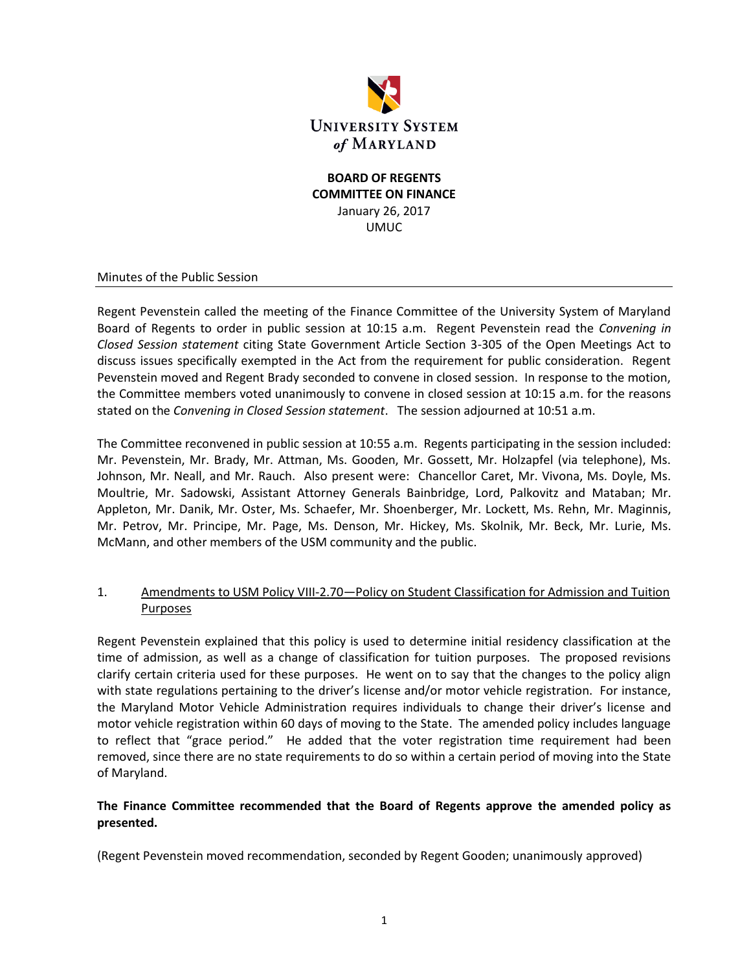

#### **BOARD OF REGENTS COMMITTEE ON FINANCE** January 26, 2017 UMUC

#### Minutes of the Public Session

Regent Pevenstein called the meeting of the Finance Committee of the University System of Maryland Board of Regents to order in public session at 10:15 a.m. Regent Pevenstein read the *Convening in Closed Session statement* citing State Government Article Section 3-305 of the Open Meetings Act to discuss issues specifically exempted in the Act from the requirement for public consideration. Regent Pevenstein moved and Regent Brady seconded to convene in closed session. In response to the motion, the Committee members voted unanimously to convene in closed session at 10:15 a.m. for the reasons stated on the *Convening in Closed Session statement*. The session adjourned at 10:51 a.m.

The Committee reconvened in public session at 10:55 a.m. Regents participating in the session included: Mr. Pevenstein, Mr. Brady, Mr. Attman, Ms. Gooden, Mr. Gossett, Mr. Holzapfel (via telephone), Ms. Johnson, Mr. Neall, and Mr. Rauch. Also present were: Chancellor Caret, Mr. Vivona, Ms. Doyle, Ms. Moultrie, Mr. Sadowski, Assistant Attorney Generals Bainbridge, Lord, Palkovitz and Mataban; Mr. Appleton, Mr. Danik, Mr. Oster, Ms. Schaefer, Mr. Shoenberger, Mr. Lockett, Ms. Rehn, Mr. Maginnis, Mr. Petrov, Mr. Principe, Mr. Page, Ms. Denson, Mr. Hickey, Ms. Skolnik, Mr. Beck, Mr. Lurie, Ms. McMann, and other members of the USM community and the public.

## 1. Amendments to USM Policy VIII-2.70—Policy on Student Classification for Admission and Tuition Purposes

Regent Pevenstein explained that this policy is used to determine initial residency classification at the time of admission, as well as a change of classification for tuition purposes. The proposed revisions clarify certain criteria used for these purposes. He went on to say that the changes to the policy align with state regulations pertaining to the driver's license and/or motor vehicle registration. For instance, the Maryland Motor Vehicle Administration requires individuals to change their driver's license and motor vehicle registration within 60 days of moving to the State. The amended policy includes language to reflect that "grace period." He added that the voter registration time requirement had been removed, since there are no state requirements to do so within a certain period of moving into the State of Maryland.

## **The Finance Committee recommended that the Board of Regents approve the amended policy as presented.**

(Regent Pevenstein moved recommendation, seconded by Regent Gooden; unanimously approved)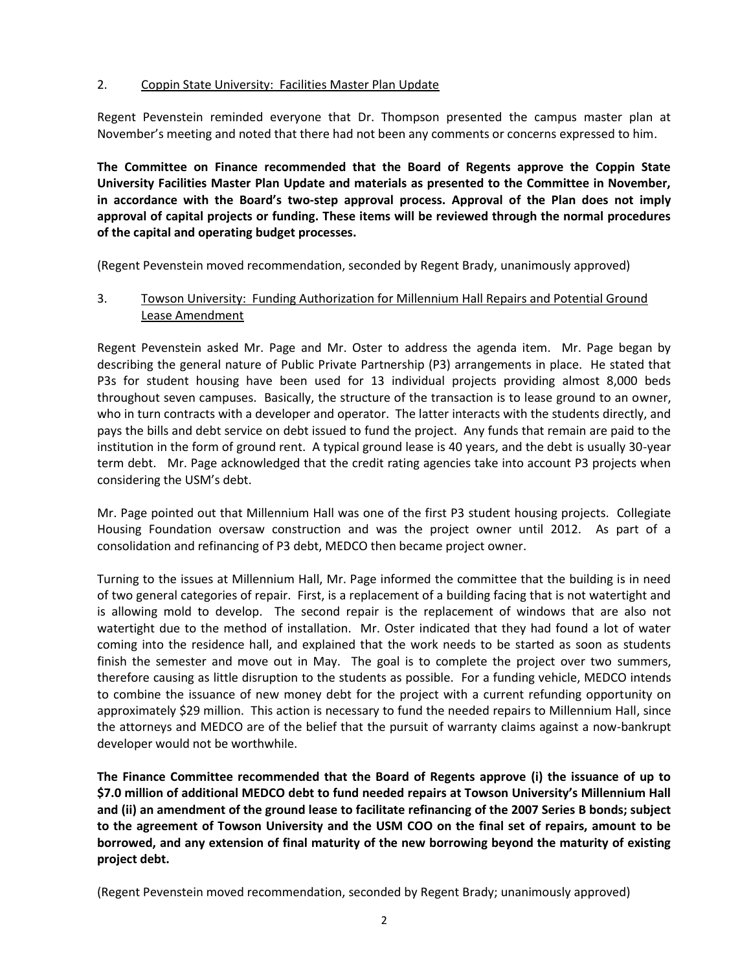## 2. Coppin State University: Facilities Master Plan Update

Regent Pevenstein reminded everyone that Dr. Thompson presented the campus master plan at November's meeting and noted that there had not been any comments or concerns expressed to him.

**The Committee on Finance recommended that the Board of Regents approve the Coppin State University Facilities Master Plan Update and materials as presented to the Committee in November, in accordance with the Board's two‐step approval process. Approval of the Plan does not imply approval of capital projects or funding. These items will be reviewed through the normal procedures of the capital and operating budget processes.**

(Regent Pevenstein moved recommendation, seconded by Regent Brady, unanimously approved)

## 3. Towson University: Funding Authorization for Millennium Hall Repairs and Potential Ground Lease Amendment

Regent Pevenstein asked Mr. Page and Mr. Oster to address the agenda item. Mr. Page began by describing the general nature of Public Private Partnership (P3) arrangements in place. He stated that P3s for student housing have been used for 13 individual projects providing almost 8,000 beds throughout seven campuses. Basically, the structure of the transaction is to lease ground to an owner, who in turn contracts with a developer and operator. The latter interacts with the students directly, and pays the bills and debt service on debt issued to fund the project. Any funds that remain are paid to the institution in the form of ground rent. A typical ground lease is 40 years, and the debt is usually 30-year term debt. Mr. Page acknowledged that the credit rating agencies take into account P3 projects when considering the USM's debt.

Mr. Page pointed out that Millennium Hall was one of the first P3 student housing projects. Collegiate Housing Foundation oversaw construction and was the project owner until 2012. As part of a consolidation and refinancing of P3 debt, MEDCO then became project owner.

Turning to the issues at Millennium Hall, Mr. Page informed the committee that the building is in need of two general categories of repair. First, is a replacement of a building facing that is not watertight and is allowing mold to develop. The second repair is the replacement of windows that are also not watertight due to the method of installation. Mr. Oster indicated that they had found a lot of water coming into the residence hall, and explained that the work needs to be started as soon as students finish the semester and move out in May. The goal is to complete the project over two summers, therefore causing as little disruption to the students as possible. For a funding vehicle, MEDCO intends to combine the issuance of new money debt for the project with a current refunding opportunity on approximately \$29 million. This action is necessary to fund the needed repairs to Millennium Hall, since the attorneys and MEDCO are of the belief that the pursuit of warranty claims against a now-bankrupt developer would not be worthwhile.

**The Finance Committee recommended that the Board of Regents approve (i) the issuance of up to \$7.0 million of additional MEDCO debt to fund needed repairs at Towson University's Millennium Hall and (ii) an amendment of the ground lease to facilitate refinancing of the 2007 Series B bonds; subject to the agreement of Towson University and the USM COO on the final set of repairs, amount to be borrowed, and any extension of final maturity of the new borrowing beyond the maturity of existing project debt.** 

(Regent Pevenstein moved recommendation, seconded by Regent Brady; unanimously approved)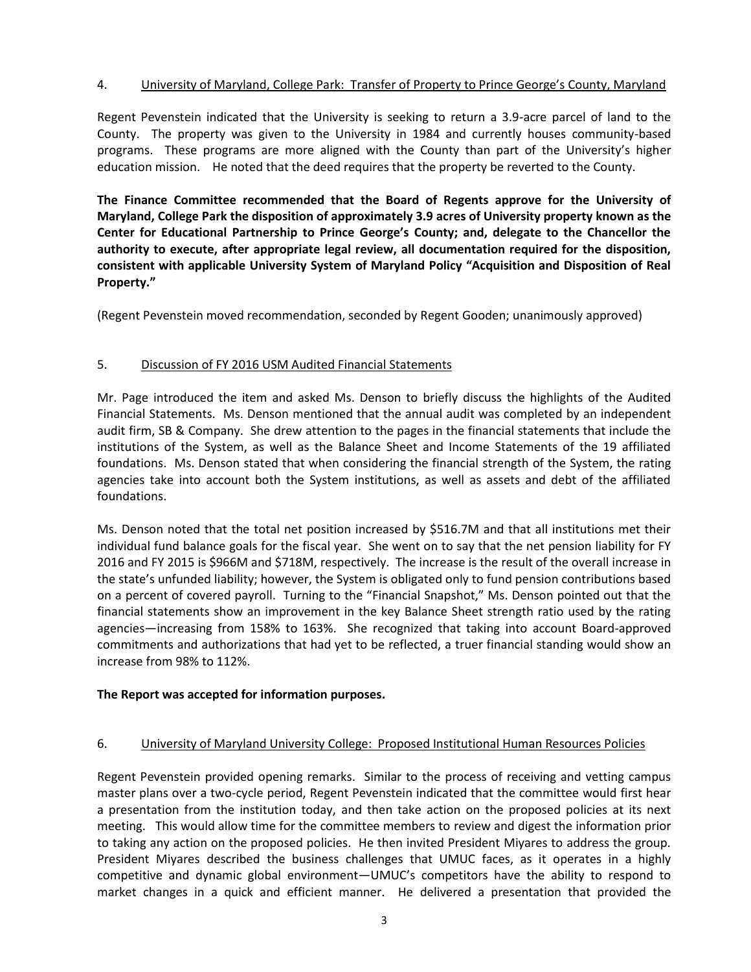## 4. University of Maryland, College Park: Transfer of Property to Prince George's County, Maryland

Regent Pevenstein indicated that the University is seeking to return a 3.9-acre parcel of land to the County. The property was given to the University in 1984 and currently houses community-based programs. These programs are more aligned with the County than part of the University's higher education mission. He noted that the deed requires that the property be reverted to the County.

**The Finance Committee recommended that the Board of Regents approve for the University of Maryland, College Park the disposition of approximately 3.9 acres of University property known as the Center for Educational Partnership to Prince George's County; and, delegate to the Chancellor the authority to execute, after appropriate legal review, all documentation required for the disposition, consistent with applicable University System of Maryland Policy "Acquisition and Disposition of Real Property."**

(Regent Pevenstein moved recommendation, seconded by Regent Gooden; unanimously approved)

## 5. Discussion of FY 2016 USM Audited Financial Statements

Mr. Page introduced the item and asked Ms. Denson to briefly discuss the highlights of the Audited Financial Statements. Ms. Denson mentioned that the annual audit was completed by an independent audit firm, SB & Company. She drew attention to the pages in the financial statements that include the institutions of the System, as well as the Balance Sheet and Income Statements of the 19 affiliated foundations. Ms. Denson stated that when considering the financial strength of the System, the rating agencies take into account both the System institutions, as well as assets and debt of the affiliated foundations.

Ms. Denson noted that the total net position increased by \$516.7M and that all institutions met their individual fund balance goals for the fiscal year. She went on to say that the net pension liability for FY 2016 and FY 2015 is \$966M and \$718M, respectively. The increase is the result of the overall increase in the state's unfunded liability; however, the System is obligated only to fund pension contributions based on a percent of covered payroll. Turning to the "Financial Snapshot," Ms. Denson pointed out that the financial statements show an improvement in the key Balance Sheet strength ratio used by the rating agencies—increasing from 158% to 163%. She recognized that taking into account Board-approved commitments and authorizations that had yet to be reflected, a truer financial standing would show an increase from 98% to 112%.

#### **The Report was accepted for information purposes.**

#### 6. University of Maryland University College: Proposed Institutional Human Resources Policies

Regent Pevenstein provided opening remarks. Similar to the process of receiving and vetting campus master plans over a two-cycle period, Regent Pevenstein indicated that the committee would first hear a presentation from the institution today, and then take action on the proposed policies at its next meeting. This would allow time for the committee members to review and digest the information prior to taking any action on the proposed policies. He then invited President Miyares to address the group. President Miyares described the business challenges that UMUC faces, as it operates in a highly competitive and dynamic global environment—UMUC's competitors have the ability to respond to market changes in a quick and efficient manner. He delivered a presentation that provided the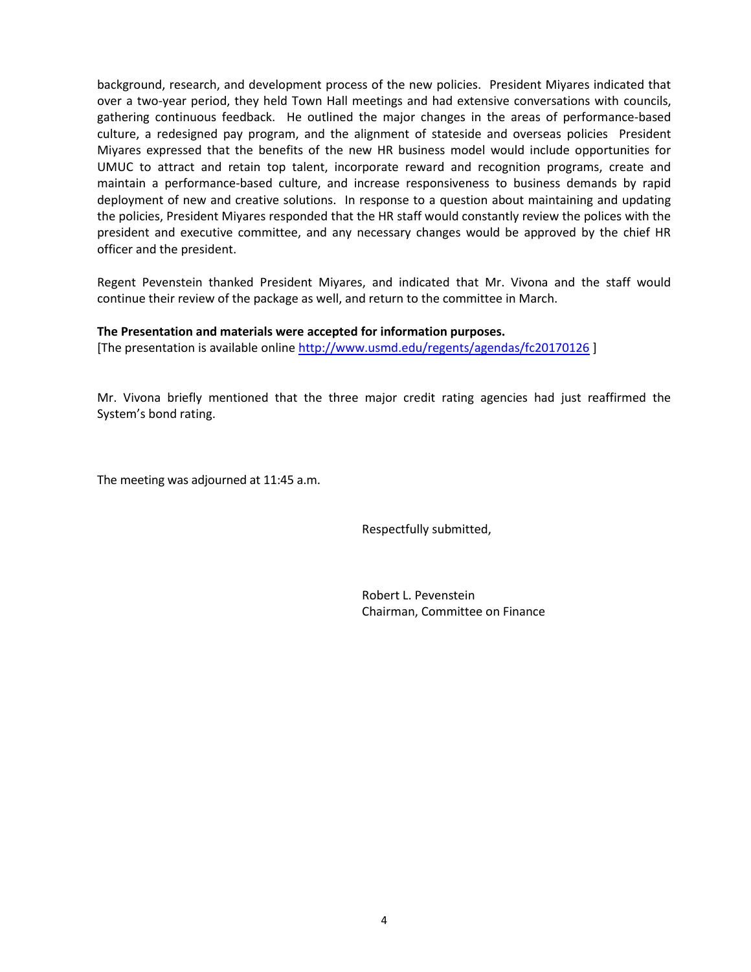background, research, and development process of the new policies. President Miyares indicated that over a two-year period, they held Town Hall meetings and had extensive conversations with councils, gathering continuous feedback. He outlined the major changes in the areas of performance-based culture, a redesigned pay program, and the alignment of stateside and overseas policies President Miyares expressed that the benefits of the new HR business model would include opportunities for UMUC to attract and retain top talent, incorporate reward and recognition programs, create and maintain a performance-based culture, and increase responsiveness to business demands by rapid deployment of new and creative solutions. In response to a question about maintaining and updating the policies, President Miyares responded that the HR staff would constantly review the polices with the president and executive committee, and any necessary changes would be approved by the chief HR officer and the president.

Regent Pevenstein thanked President Miyares, and indicated that Mr. Vivona and the staff would continue their review of the package as well, and return to the committee in March.

#### **The Presentation and materials were accepted for information purposes.**

[The presentation is available online<http://www.usmd.edu/regents/agendas/fc20170126> ]

Mr. Vivona briefly mentioned that the three major credit rating agencies had just reaffirmed the System's bond rating.

The meeting was adjourned at 11:45 a.m.

Respectfully submitted,

Robert L. Pevenstein Chairman, Committee on Finance